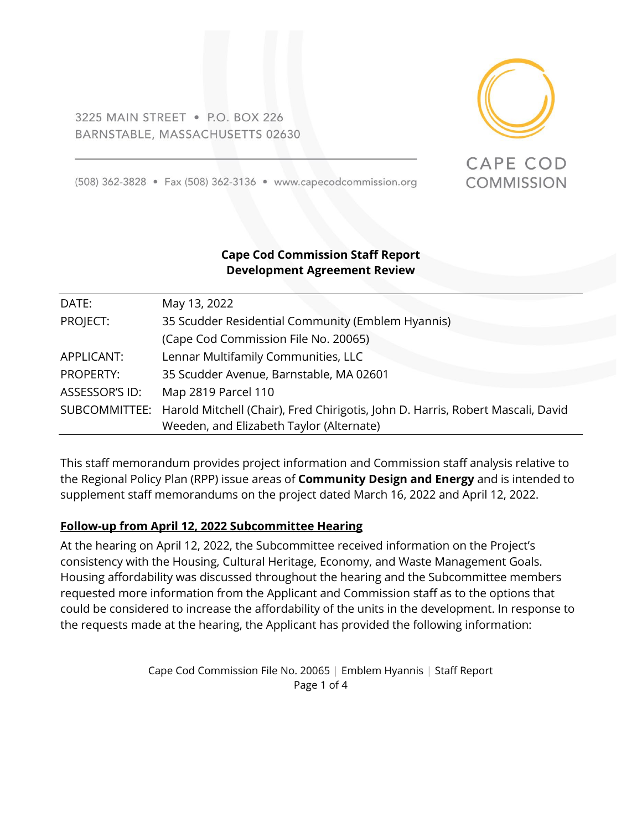3225 MAIN STREET . P.O. BOX 226 BARNSTABLE, MASSACHUSETTS 02630



CAPE COD

**COMMISSION** 

(508) 362-3828 • Fax (508) 362-3136 • www.capecodcommission.org

## **Cape Cod Commission Staff Report Development Agreement Review**

| DATE:          | May 13, 2022                                                                                  |
|----------------|-----------------------------------------------------------------------------------------------|
| PROJECT:       | 35 Scudder Residential Community (Emblem Hyannis)                                             |
|                | (Cape Cod Commission File No. 20065)                                                          |
| APPLICANT:     | Lennar Multifamily Communities, LLC                                                           |
| PROPERTY:      | 35 Scudder Avenue, Barnstable, MA 02601                                                       |
| ASSESSOR'S ID: | Map 2819 Parcel 110                                                                           |
|                | SUBCOMMITTEE: Harold Mitchell (Chair), Fred Chirigotis, John D. Harris, Robert Mascali, David |
|                | Weeden, and Elizabeth Taylor (Alternate)                                                      |

This staff memorandum provides project information and Commission staff analysis relative to the Regional Policy Plan (RPP) issue areas of **Community Design and Energy** and is intended to supplement staff memorandums on the project dated March 16, 2022 and April 12, 2022.

## **Follow-up from April 12, 2022 Subcommittee Hearing**

At the hearing on April 12, 2022, the Subcommittee received information on the Project's consistency with the Housing, Cultural Heritage, Economy, and Waste Management Goals. Housing affordability was discussed throughout the hearing and the Subcommittee members requested more information from the Applicant and Commission staff as to the options that could be considered to increase the affordability of the units in the development. In response to the requests made at the hearing, the Applicant has provided the following information:

> Cape Cod Commission File No. 20065 | Emblem Hyannis | Staff Report Page 1 of 4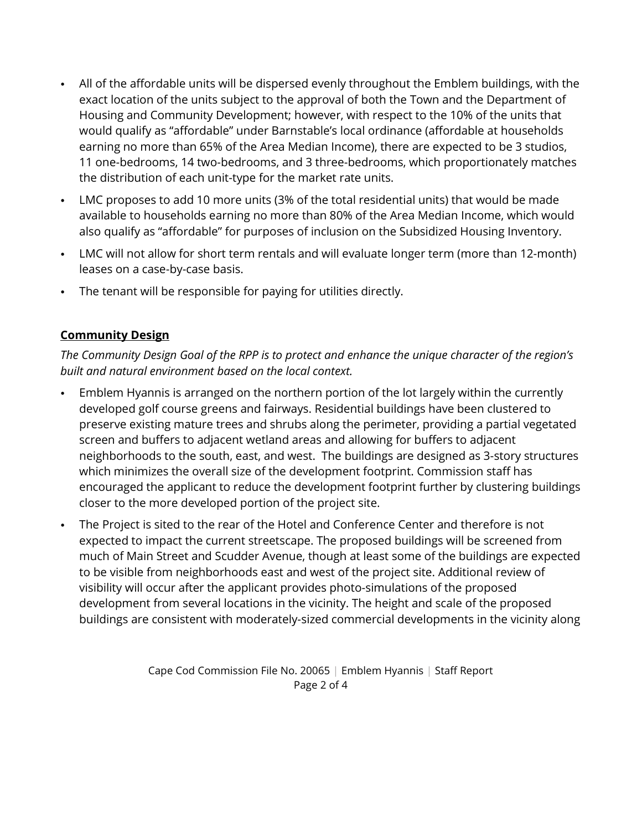- All of the affordable units will be dispersed evenly throughout the Emblem buildings, with the exact location of the units subject to the approval of both the Town and the Department of Housing and Community Development; however, with respect to the 10% of the units that would qualify as "affordable" under Barnstable's local ordinance (affordable at households earning no more than 65% of the Area Median Income), there are expected to be 3 studios, 11 one-bedrooms, 14 two-bedrooms, and 3 three-bedrooms, which proportionately matches the distribution of each unit-type for the market rate units.
- LMC proposes to add 10 more units (3% of the total residential units) that would be made available to households earning no more than 80% of the Area Median Income, which would also qualify as "affordable" for purposes of inclusion on the Subsidized Housing Inventory.
- LMC will not allow for short term rentals and will evaluate longer term (more than 12-month) leases on a case-by-case basis.
- The tenant will be responsible for paying for utilities directly.

## **Community Design**

*The Community Design Goal of the RPP is to protect and enhance the unique character of the region's built and natural environment based on the local context.*

- Emblem Hyannis is arranged on the northern portion of the lot largely within the currently developed golf course greens and fairways. Residential buildings have been clustered to preserve existing mature trees and shrubs along the perimeter, providing a partial vegetated screen and buffers to adjacent wetland areas and allowing for buffers to adjacent neighborhoods to the south, east, and west. The buildings are designed as 3-story structures which minimizes the overall size of the development footprint. Commission staff has encouraged the applicant to reduce the development footprint further by clustering buildings closer to the more developed portion of the project site.
- The Project is sited to the rear of the Hotel and Conference Center and therefore is not expected to impact the current streetscape. The proposed buildings will be screened from much of Main Street and Scudder Avenue, though at least some of the buildings are expected to be visible from neighborhoods east and west of the project site. Additional review of visibility will occur after the applicant provides photo-simulations of the proposed development from several locations in the vicinity. The height and scale of the proposed buildings are consistent with moderately-sized commercial developments in the vicinity along

Cape Cod Commission File No. 20065 | Emblem Hyannis | Staff Report Page 2 of 4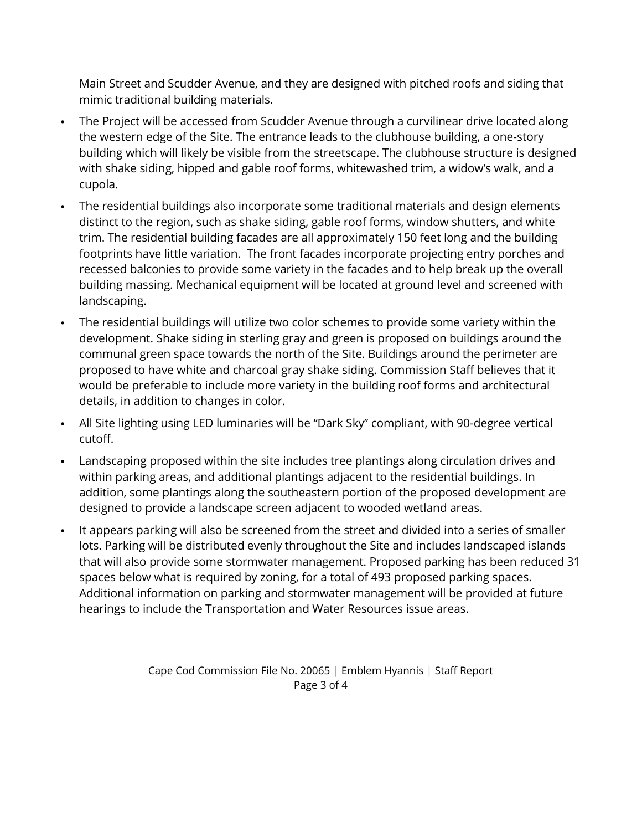Main Street and Scudder Avenue, and they are designed with pitched roofs and siding that mimic traditional building materials.

- The Project will be accessed from Scudder Avenue through a curvilinear drive located along the western edge of the Site. The entrance leads to the clubhouse building, a one-story building which will likely be visible from the streetscape. The clubhouse structure is designed with shake siding, hipped and gable roof forms, whitewashed trim, a widow's walk, and a cupola.
- The residential buildings also incorporate some traditional materials and design elements distinct to the region, such as shake siding, gable roof forms, window shutters, and white trim. The residential building facades are all approximately 150 feet long and the building footprints have little variation. The front facades incorporate projecting entry porches and recessed balconies to provide some variety in the facades and to help break up the overall building massing. Mechanical equipment will be located at ground level and screened with landscaping.
- The residential buildings will utilize two color schemes to provide some variety within the development. Shake siding in sterling gray and green is proposed on buildings around the communal green space towards the north of the Site. Buildings around the perimeter are proposed to have white and charcoal gray shake siding. Commission Staff believes that it would be preferable to include more variety in the building roof forms and architectural details, in addition to changes in color.
- All Site lighting using LED luminaries will be "Dark Sky" compliant, with 90-degree vertical cutoff.
- Landscaping proposed within the site includes tree plantings along circulation drives and within parking areas, and additional plantings adjacent to the residential buildings. In addition, some plantings along the southeastern portion of the proposed development are designed to provide a landscape screen adjacent to wooded wetland areas.
- It appears parking will also be screened from the street and divided into a series of smaller lots. Parking will be distributed evenly throughout the Site and includes landscaped islands that will also provide some stormwater management. Proposed parking has been reduced 31 spaces below what is required by zoning, for a total of 493 proposed parking spaces. Additional information on parking and stormwater management will be provided at future hearings to include the Transportation and Water Resources issue areas.

Cape Cod Commission File No. 20065 | Emblem Hyannis | Staff Report Page 3 of 4